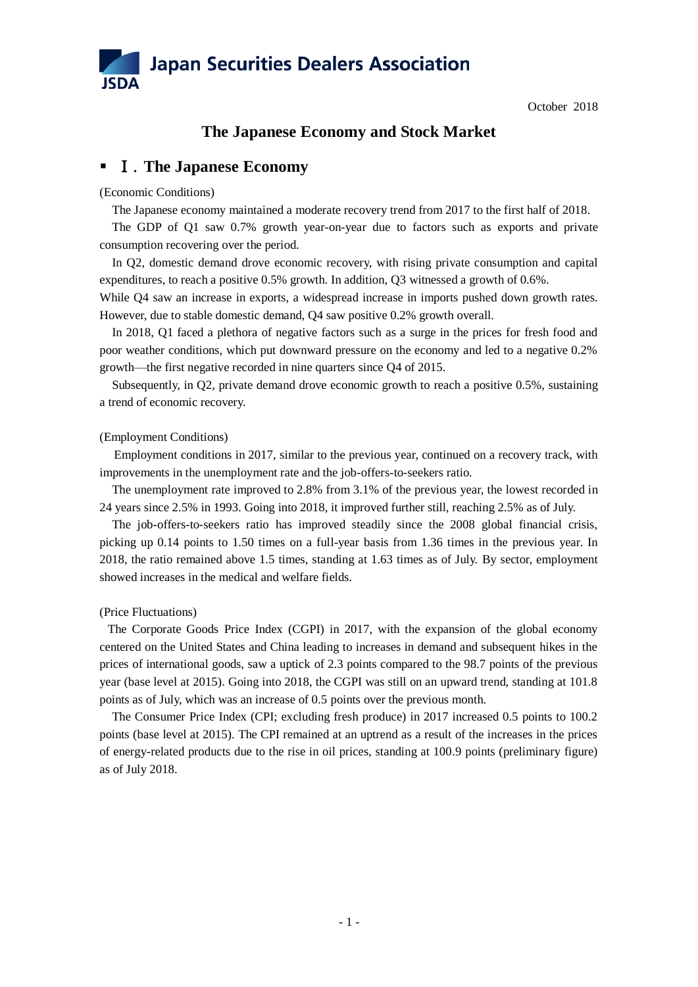

October 2018

# **The Japanese Economy and Stock Market**

# Ⅰ.**The Japanese Economy**

## (Economic Conditions)

The Japanese economy maintained a moderate recovery trend from 2017 to the first half of 2018.

The GDP of Q1 saw 0.7% growth year-on-year due to factors such as exports and private consumption recovering over the period.

In Q2, domestic demand drove economic recovery, with rising private consumption and capital expenditures, to reach a positive 0.5% growth. In addition, Q3 witnessed a growth of 0.6%.

While Q4 saw an increase in exports, a widespread increase in imports pushed down growth rates. However, due to stable domestic demand, Q4 saw positive 0.2% growth overall.

 In 2018, Q1 faced a plethora of negative factors such as a surge in the prices for fresh food and poor weather conditions, which put downward pressure on the economy and led to a negative 0.2% growth—the first negative recorded in nine quarters since Q4 of 2015.

 Subsequently, in Q2, private demand drove economic growth to reach a positive 0.5%, sustaining a trend of economic recovery.

# (Employment Conditions)

Employment conditions in 2017, similar to the previous year, continued on a recovery track, with improvements in the unemployment rate and the job-offers-to-seekers ratio.

The unemployment rate improved to 2.8% from 3.1% of the previous year, the lowest recorded in 24 years since 2.5% in 1993. Going into 2018, it improved further still, reaching 2.5% as of July.

 The job-offers-to-seekers ratio has improved steadily since the 2008 global financial crisis, picking up 0.14 points to 1.50 times on a full-year basis from 1.36 times in the previous year. In 2018, the ratio remained above 1.5 times, standing at 1.63 times as of July. By sector, employment showed increases in the medical and welfare fields.

# (Price Fluctuations)

The Corporate Goods Price Index (CGPI) in 2017, with the expansion of the global economy centered on the United States and China leading to increases in demand and subsequent hikes in the prices of international goods, saw a uptick of 2.3 points compared to the 98.7 points of the previous year (base level at 2015). Going into 2018, the CGPI was still on an upward trend, standing at 101.8 points as of July, which was an increase of 0.5 points over the previous month.

 The Consumer Price Index (CPI; excluding fresh produce) in 2017 increased 0.5 points to 100.2 points (base level at 2015). The CPI remained at an uptrend as a result of the increases in the prices of energy-related products due to the rise in oil prices, standing at 100.9 points (preliminary figure) as of July 2018.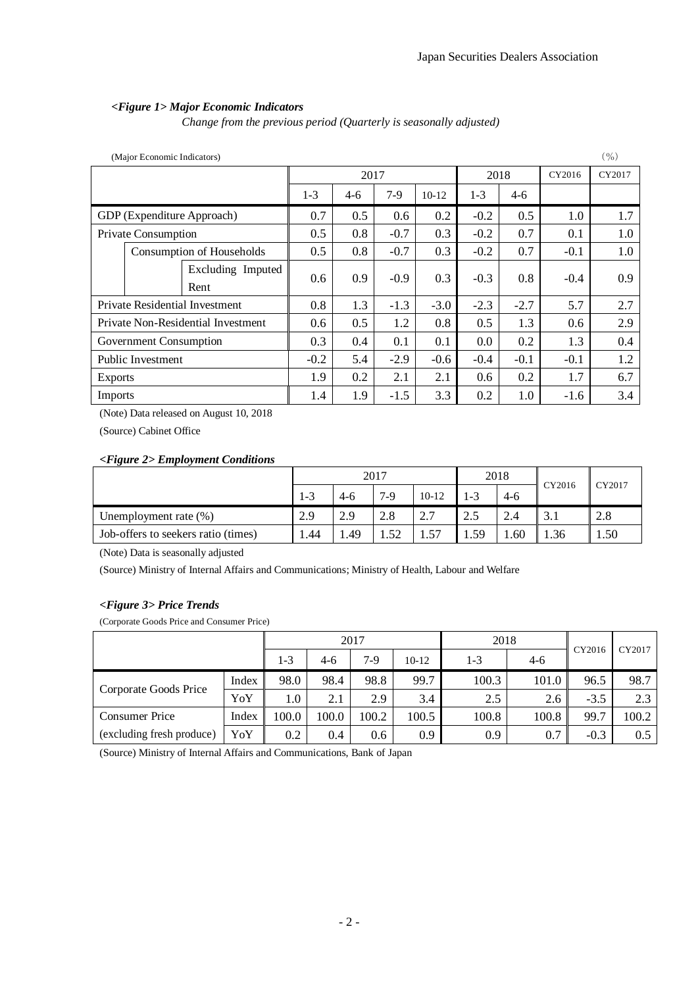# *<Figure 1> Major Economic Indicators*

*Change from the previous period (Quarterly is seasonally adjusted)*

| (Major Economic Indicators)        |                     |                                       |       |        |        |         |         | $($ %) |        |        |
|------------------------------------|---------------------|---------------------------------------|-------|--------|--------|---------|---------|--------|--------|--------|
|                                    |                     |                                       |       | 2017   |        |         | 2018    |        | CY2016 | CY2017 |
|                                    |                     |                                       | $1-3$ | $4-6$  | $7-9$  | $10-12$ | $1 - 3$ | $4-6$  |        |        |
|                                    |                     | GDP (Expenditure Approach)            | 0.7   | 0.5    | 0.6    | 0.2     | $-0.2$  | 0.5    | 1.0    | 1.7    |
|                                    | Private Consumption |                                       | 0.5   | 0.8    | $-0.7$ | 0.3     | $-0.2$  | 0.7    | 0.1    | 1.0    |
|                                    |                     | Consumption of Households             | 0.5   | 0.8    | $-0.7$ | 0.3     | $-0.2$  | 0.7    | $-0.1$ | 1.0    |
|                                    |                     | Excluding Imputed<br>Rent             | 0.6   | 0.9    | $-0.9$ | 0.3     | $-0.3$  | 0.8    | $-0.4$ | 0.9    |
|                                    |                     | <b>Private Residential Investment</b> | 0.8   | 1.3    | $-1.3$ | $-3.0$  | $-2.3$  | $-2.7$ | 5.7    | 2.7    |
| Private Non-Residential Investment |                     | 0.6                                   | 0.5   | 1.2    | 0.8    | 0.5     | 1.3     | 0.6    | 2.9    |        |
| Government Consumption             |                     | 0.3                                   | 0.4   | 0.1    | 0.1    | 0.0     | 0.2     | 1.3    | 0.4    |        |
| Public Investment                  |                     | $-0.2$                                | 5.4   | $-2.9$ | $-0.6$ | $-0.4$  | $-0.1$  | $-0.1$ | 1.2    |        |
| <b>Exports</b>                     |                     | 1.9                                   | 0.2   | 2.1    | 2.1    | 0.6     | 0.2     | 1.7    | 6.7    |        |
| Imports                            |                     |                                       | 1.4   | 1.9    | $-1.5$ | 3.3     | 0.2     | 1.0    | $-1.6$ | 3.4    |

(Note) Data released on August 10, 2018

(Source) Cabinet Office

### *<Figure 2> Employment Conditions*

|                                     | 2017 |       |       | 2018                            |         | CY2016    | CY2017                 |      |
|-------------------------------------|------|-------|-------|---------------------------------|---------|-----------|------------------------|------|
|                                     | 1-3  | $4-6$ | $7-9$ | $10-12$                         | $1 - 3$ | 4-6       |                        |      |
| Unemployment rate $(\%)$            | 2.9  | 2.9   | 2.8   | $\gamma$ $\tau$<br><u>، ، ،</u> | 2.5     | $2\Delta$ | 2 <sub>1</sub><br>3. l | 2.8  |
| Job-offers to seekers ratio (times) | 1.44 | .49   | 52    | 57                              | .59     | .60       | 1.36                   | 1.50 |

(Note) Data is seasonally adjusted

(Source) Ministry of Internal Affairs and Communications; Ministry of Health, Labour and Welfare

### *<Figure 3> Price Trends*

(Corporate Goods Price and Consumer Price)

|                                  | 2017  |         |       | 2018  | CY2016 | CY2017 |         |        |       |
|----------------------------------|-------|---------|-------|-------|--------|--------|---------|--------|-------|
|                                  |       | $1 - 3$ | $4-6$ | $7-9$ | 10-12  | 1-3    | $4 - 6$ |        |       |
|                                  | Index | 98.0    | 98.4  | 98.8  | 99.7   | 100.3  | 101.0   | 96.5   | 98.7  |
| Corporate Goods Price            | YoY   | 1.0     | 2.1   | 2.9   | 3.4    | 2.5    | 2.6     | $-3.5$ | 2.3   |
| <b>Consumer Price</b>            | Index | 100.0   | 100.0 | 100.2 | 100.5  | 100.8  | 100.8   | 99.7   | 100.2 |
| (excluding fresh produce)<br>YoY |       | 0.2     | 0.4   | 0.6   | 0.9    | 0.9    | 0.7     | $-0.3$ | 0.5   |

(Source) Ministry of Internal Affairs and Communications, Bank of Japan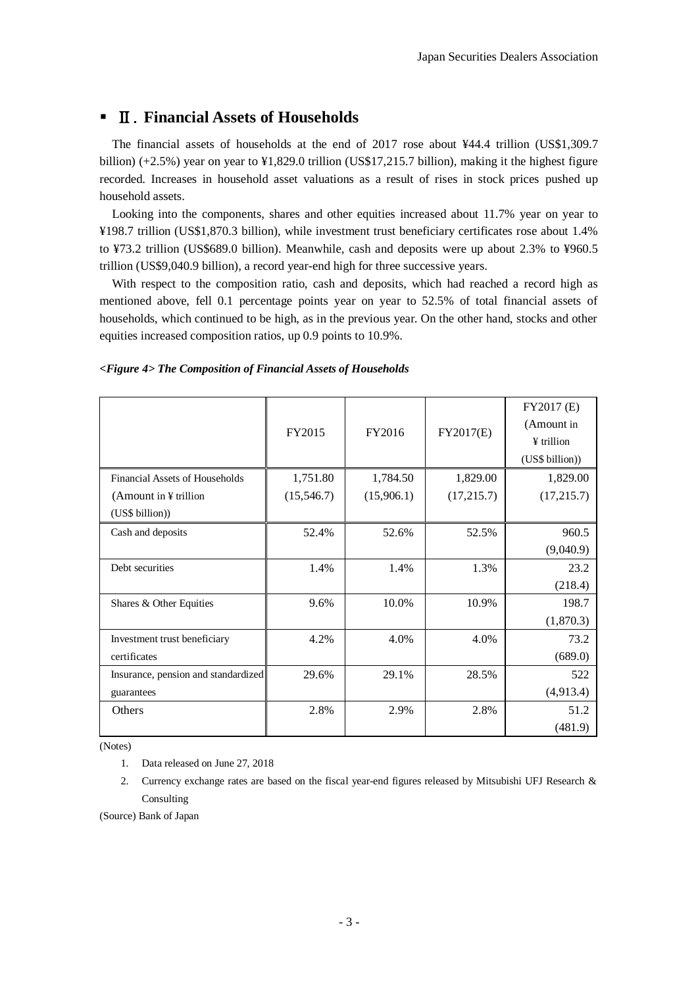# Ⅱ.**Financial Assets of Households**

The financial assets of households at the end of 2017 rose about ¥44.4 trillion (US\$1,309.7 billion) (+2.5%) year on year to ¥1,829.0 trillion (US\$17,215.7 billion), making it the highest figure recorded. Increases in household asset valuations as a result of rises in stock prices pushed up household assets.

Looking into the components, shares and other equities increased about 11.7% year on year to ¥198.7 trillion (US\$1,870.3 billion), while investment trust beneficiary certificates rose about 1.4% to ¥73.2 trillion (US\$689.0 billion). Meanwhile, cash and deposits were up about 2.3% to ¥960.5 trillion (US\$9,040.9 billion), a record year-end high for three successive years.

With respect to the composition ratio, cash and deposits, which had reached a record high as mentioned above, fell 0.1 percentage points year on year to 52.5% of total financial assets of households, which continued to be high, as in the previous year. On the other hand, stocks and other equities increased composition ratios, up 0.9 points to 10.9%.

|                                     | FY2015     | FY2016     | FY2017(E)   | FY2017 (E)<br>(Amount in<br>$\angle$ trillion<br>(US\$ billion)) |
|-------------------------------------|------------|------------|-------------|------------------------------------------------------------------|
| Financial Assets of Households      | 1,751.80   | 1,784.50   | 1,829.00    | 1,829.00                                                         |
| (Amount in $\frac{1}{2}$ trillion   | (15,546.7) | (15,906.1) | (17, 215.7) | (17,215.7)                                                       |
| (US\$ billion))                     |            |            |             |                                                                  |
| Cash and deposits                   | 52.4%      | 52.6%      | 52.5%       | 960.5                                                            |
|                                     |            |            |             | (9,040.9)                                                        |
| Debt securities                     | 1.4%       | 1.4%       | 1.3%        | 23.2                                                             |
|                                     |            |            |             | (218.4)                                                          |
| Shares & Other Equities             | 9.6%       | 10.0%      | 10.9%       | 198.7                                                            |
|                                     |            |            |             | (1,870.3)                                                        |
| Investment trust beneficiary        | 4.2%       | 4.0%       | 4.0%        | 73.2                                                             |
| certificates                        |            |            |             | (689.0)                                                          |
| Insurance, pension and standardized | 29.6%      | 29.1%      | 28.5%       | 522                                                              |
| guarantees                          |            |            |             | (4,913.4)                                                        |
| Others                              | 2.8%       | 2.9%       | 2.8%        | 51.2                                                             |
|                                     |            |            |             | (481.9)                                                          |

*<Figure 4> The Composition of Financial Assets of Households*

(Notes)

- 1. Data released on June 27, 2018
- 2. Currency exchange rates are based on the fiscal year-end figures released by Mitsubishi UFJ Research & Consulting

(Source) Bank of Japan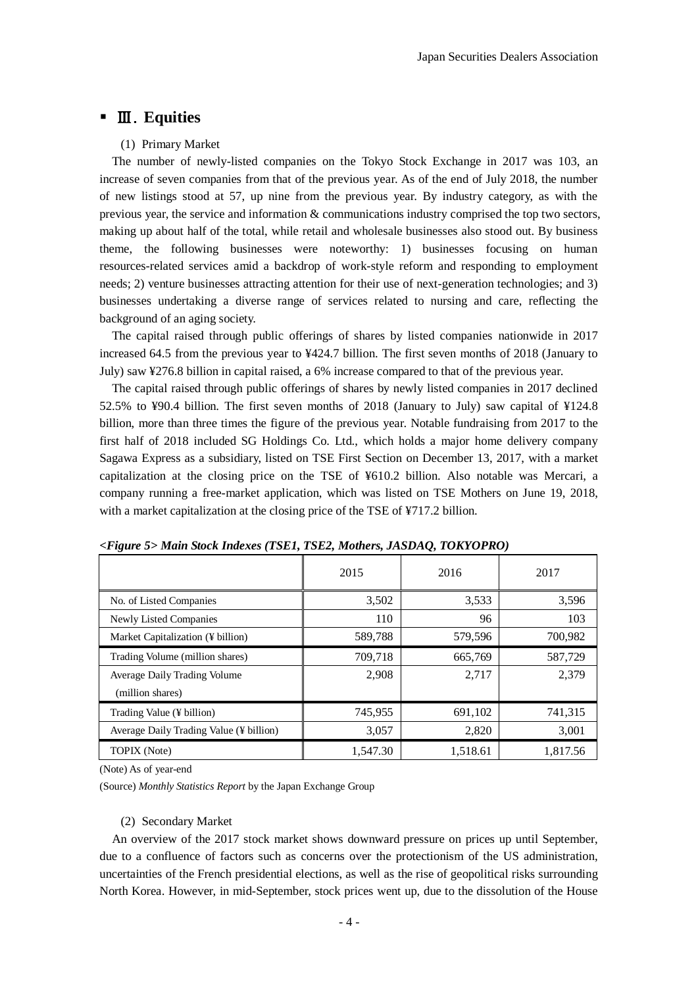# Ⅲ.**Equities**

### (1) Primary Market

 The number of newly-listed companies on the Tokyo Stock Exchange in 2017 was 103, an increase of seven companies from that of the previous year. As of the end of July 2018, the number of new listings stood at 57, up nine from the previous year. By industry category, as with the previous year, the service and information & communications industry comprised the top two sectors, making up about half of the total, while retail and wholesale businesses also stood out. By business theme, the following businesses were noteworthy: 1) businesses focusing on human resources-related services amid a backdrop of work-style reform and responding to employment needs; 2) venture businesses attracting attention for their use of next-generation technologies; and 3) businesses undertaking a diverse range of services related to nursing and care, reflecting the background of an aging society.

 The capital raised through public offerings of shares by listed companies nationwide in 2017 increased 64.5 from the previous year to ¥424.7 billion. The first seven months of 2018 (January to July) saw ¥276.8 billion in capital raised, a 6% increase compared to that of the previous year.

 The capital raised through public offerings of shares by newly listed companies in 2017 declined 52.5% to ¥90.4 billion. The first seven months of 2018 (January to July) saw capital of ¥124.8 billion, more than three times the figure of the previous year. Notable fundraising from 2017 to the first half of 2018 included SG Holdings Co. Ltd., which holds a major home delivery company Sagawa Express as a subsidiary, listed on TSE First Section on December 13, 2017, with a market capitalization at the closing price on the TSE of ¥610.2 billion. Also notable was Mercari, a company running a free-market application, which was listed on TSE Mothers on June 19, 2018, with a market capitalization at the closing price of the TSE of ¥717.2 billion.

|                                         | 2015     | 2016     | 2017     |
|-----------------------------------------|----------|----------|----------|
| No. of Listed Companies                 | 3,502    | 3,533    | 3,596    |
| Newly Listed Companies                  | 110      | 96       | 103      |
| Market Capitalization (¥ billion)       | 589,788  | 579,596  | 700,982  |
| Trading Volume (million shares)         | 709,718  | 665,769  | 587,729  |
| Average Daily Trading Volume            | 2,908    | 2,717    | 2.379    |
| (million shares)                        |          |          |          |
| Trading Value (¥ billion)               | 745,955  | 691,102  | 741,315  |
| Average Daily Trading Value (¥ billion) | 3,057    | 2,820    | 3,001    |
| <b>TOPIX</b> (Note)                     | 1.547.30 | 1,518.61 | 1,817.56 |

*<Figure 5> Main Stock Indexes (TSE1, TSE2, Mothers, JASDAQ, TOKYOPRO)*

(Note) As of year-end

(Source) *Monthly Statistics Report* by the Japan Exchange Group

#### (2) Secondary Market

 An overview of the 2017 stock market shows downward pressure on prices up until September, due to a confluence of factors such as concerns over the protectionism of the US administration, uncertainties of the French presidential elections, as well as the rise of geopolitical risks surrounding North Korea. However, in mid-September, stock prices went up, due to the dissolution of the House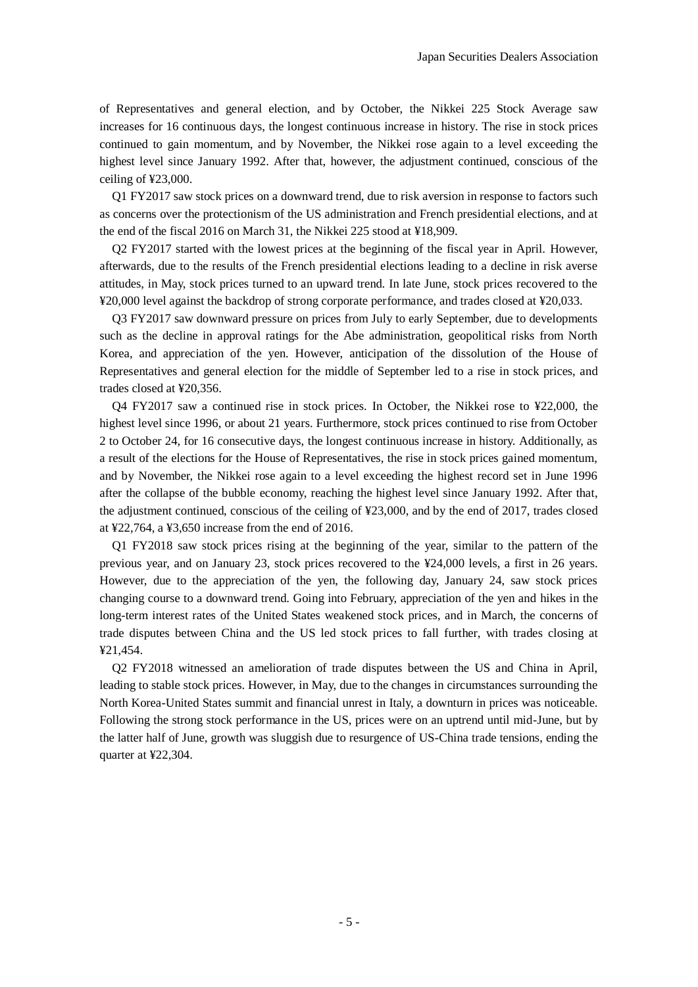of Representatives and general election, and by October, the Nikkei 225 Stock Average saw increases for 16 continuous days, the longest continuous increase in history. The rise in stock prices continued to gain momentum, and by November, the Nikkei rose again to a level exceeding the highest level since January 1992. After that, however, the adjustment continued, conscious of the ceiling of ¥23,000.

 Q1 FY2017 saw stock prices on a downward trend, due to risk aversion in response to factors such as concerns over the protectionism of the US administration and French presidential elections, and at the end of the fiscal 2016 on March 31, the Nikkei 225 stood at ¥18,909.

 Q2 FY2017 started with the lowest prices at the beginning of the fiscal year in April. However, afterwards, due to the results of the French presidential elections leading to a decline in risk averse attitudes, in May, stock prices turned to an upward trend. In late June, stock prices recovered to the ¥20,000 level against the backdrop of strong corporate performance, and trades closed at ¥20,033.

 Q3 FY2017 saw downward pressure on prices from July to early September, due to developments such as the decline in approval ratings for the Abe administration, geopolitical risks from North Korea, and appreciation of the yen. However, anticipation of the dissolution of the House of Representatives and general election for the middle of September led to a rise in stock prices, and trades closed at ¥20,356.

 Q4 FY2017 saw a continued rise in stock prices. In October, the Nikkei rose to ¥22,000, the highest level since 1996, or about 21 years. Furthermore, stock prices continued to rise from October 2 to October 24, for 16 consecutive days, the longest continuous increase in history. Additionally, as a result of the elections for the House of Representatives, the rise in stock prices gained momentum, and by November, the Nikkei rose again to a level exceeding the highest record set in June 1996 after the collapse of the bubble economy, reaching the highest level since January 1992. After that, the adjustment continued, conscious of the ceiling of ¥23,000, and by the end of 2017, trades closed at ¥22,764, a ¥3,650 increase from the end of 2016.

 Q1 FY2018 saw stock prices rising at the beginning of the year, similar to the pattern of the previous year, and on January 23, stock prices recovered to the ¥24,000 levels, a first in 26 years. However, due to the appreciation of the yen, the following day, January 24, saw stock prices changing course to a downward trend. Going into February, appreciation of the yen and hikes in the long-term interest rates of the United States weakened stock prices, and in March, the concerns of trade disputes between China and the US led stock prices to fall further, with trades closing at ¥21,454.

 Q2 FY2018 witnessed an amelioration of trade disputes between the US and China in April, leading to stable stock prices. However, in May, due to the changes in circumstances surrounding the North Korea-United States summit and financial unrest in Italy, a downturn in prices was noticeable. Following the strong stock performance in the US, prices were on an uptrend until mid-June, but by the latter half of June, growth was sluggish due to resurgence of US-China trade tensions, ending the quarter at ¥22,304.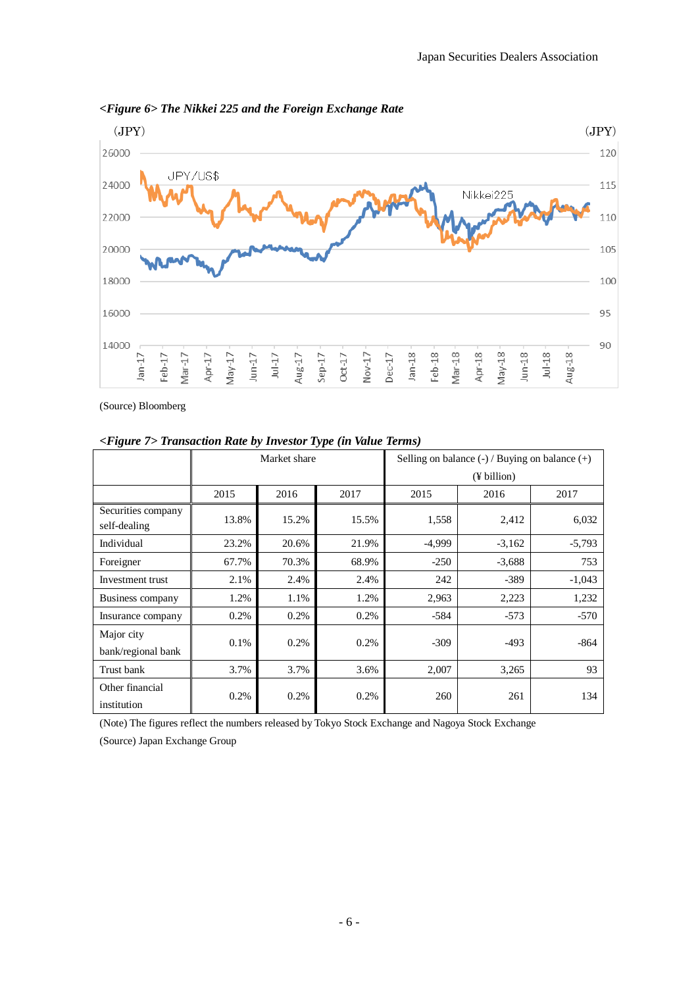

*<Figure 6> The Nikkei 225 and the Foreign Exchange Rate* 

(Source) Bloomberg

|                                    | Market share |       |       | Selling on balance $(-)/$ Buying on balance $(+)$ |             |          |  |  |
|------------------------------------|--------------|-------|-------|---------------------------------------------------|-------------|----------|--|--|
|                                    |              |       |       |                                                   | (¥ billion) |          |  |  |
|                                    | 2015         | 2016  | 2017  | 2015                                              | 2016        | 2017     |  |  |
| Securities company<br>self-dealing | 13.8%        | 15.2% | 15.5% | 1,558                                             | 2,412       | 6,032    |  |  |
| Individual                         | 23.2%        | 20.6% | 21.9% | $-4,999$                                          | $-3,162$    | $-5,793$ |  |  |
| Foreigner                          | 67.7%        | 70.3% | 68.9% | $-250$                                            | $-3,688$    | 753      |  |  |
| Investment trust                   | 2.1%         | 2.4%  | 2.4%  | 242                                               | $-389$      | $-1,043$ |  |  |
| Business company                   | 1.2%         | 1.1%  | 1.2%  | 2,963                                             | 2,223       | 1,232    |  |  |
| Insurance company                  | 0.2%         | 0.2%  | 0.2%  | $-584$                                            | $-573$      | $-570$   |  |  |
| Major city<br>bank/regional bank   | $0.1\%$      | 0.2%  | 0.2%  | $-309$                                            | $-493$      | $-864$   |  |  |
| Trust bank                         | 3.7%         | 3.7%  | 3.6%  | 2,007                                             | 3,265       | 93       |  |  |
| Other financial<br>institution     | 0.2%         | 0.2%  | 0.2%  | 260                                               | 261         | 134      |  |  |

*<Figure 7> Transaction Rate by Investor Type (in Value Terms)* 

(Note) The figures reflect the numbers released by Tokyo Stock Exchange and Nagoya Stock Exchange

(Source) Japan Exchange Group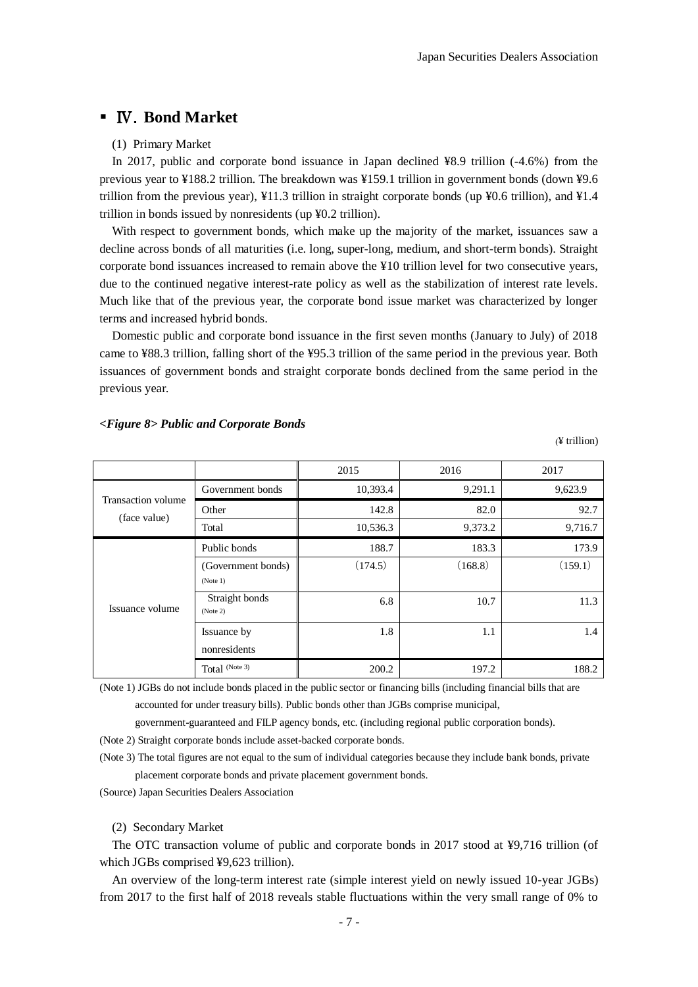# Ⅳ.**Bond Market**

#### (1) Primary Market

In 2017, public and corporate bond issuance in Japan declined ¥8.9 trillion (-4.6%) from the previous year to ¥188.2 trillion. The breakdown was ¥159.1 trillion in government bonds (down ¥9.6 trillion from the previous year), ¥11.3 trillion in straight corporate bonds (up ¥0.6 trillion), and ¥1.4 trillion in bonds issued by nonresidents (up ¥0.2 trillion).

With respect to government bonds, which make up the majority of the market, issuances saw a decline across bonds of all maturities (i.e. long, super-long, medium, and short-term bonds). Straight corporate bond issuances increased to remain above the ¥10 trillion level for two consecutive years, due to the continued negative interest-rate policy as well as the stabilization of interest rate levels. Much like that of the previous year, the corporate bond issue market was characterized by longer terms and increased hybrid bonds.

Domestic public and corporate bond issuance in the first seven months (January to July) of 2018 came to ¥88.3 trillion, falling short of the ¥95.3 trillion of the same period in the previous year. Both issuances of government bonds and straight corporate bonds declined from the same period in the previous year.

|                                    |                                | 2015     | 2016    | 2017    |
|------------------------------------|--------------------------------|----------|---------|---------|
|                                    | Government bonds               | 10,393.4 | 9,291.1 | 9,623.9 |
| Transaction volume<br>(face value) | Other                          | 142.8    | 82.0    | 92.7    |
|                                    | Total                          | 10,536.3 | 9,373.2 | 9,716.7 |
|                                    | Public bonds                   | 188.7    | 183.3   | 173.9   |
|                                    | (Government bonds)<br>(Note 1) | (174.5)  | (168.8) | (159.1) |
| Issuance volume                    | Straight bonds<br>(Note 2)     | 6.8      | 10.7    | 11.3    |
|                                    | Issuance by<br>nonresidents    | 1.8      | 1.1     | 1.4     |
|                                    | Total (Note 3)                 | 200.2    | 197.2   | 188.2   |

#### *<Figure 8> Public and Corporate Bonds*

(¥ trillion)

(Note 1) JGBs do not include bonds placed in the public sector or financing bills (including financial bills that are accounted for under treasury bills). Public bonds other than JGBs comprise municipal,

government-guaranteed and FILP agency bonds, etc. (including regional public corporation bonds).

(Note 2) Straight corporate bonds include asset-backed corporate bonds.

(Note 3) The total figures are not equal to the sum of individual categories because they include bank bonds, private placement corporate bonds and private placement government bonds.

(Source) Japan Securities Dealers Association

(2) Secondary Market

 The OTC transaction volume of public and corporate bonds in 2017 stood at ¥9,716 trillion (of which JGBs comprised ¥9,623 trillion).

 An overview of the long-term interest rate (simple interest yield on newly issued 10-year JGBs) from 2017 to the first half of 2018 reveals stable fluctuations within the very small range of 0% to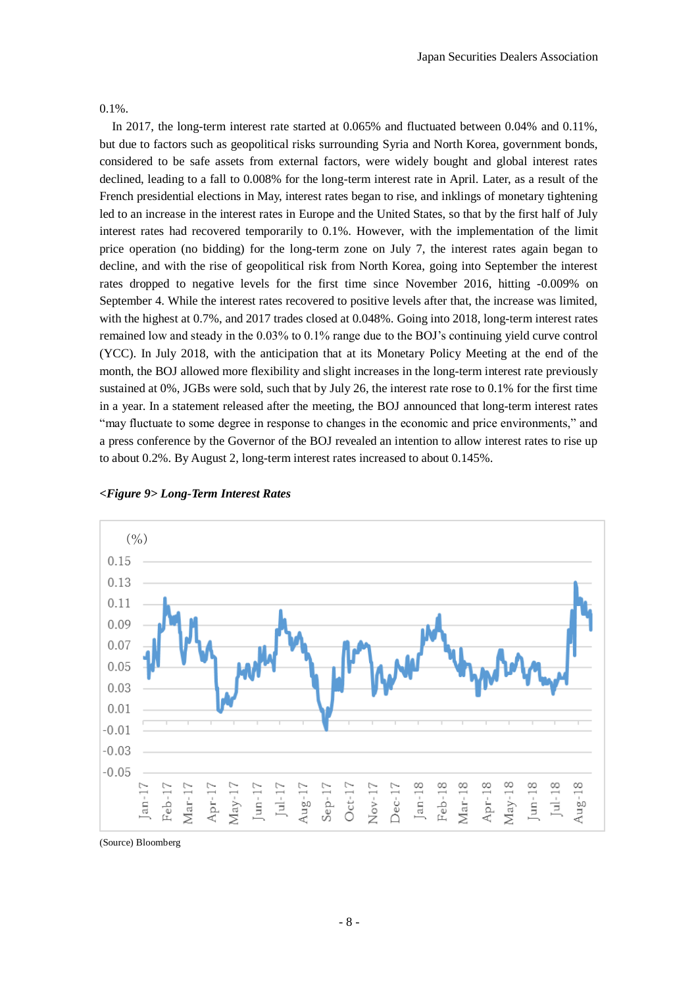0.1%.

 In 2017, the long-term interest rate started at 0.065% and fluctuated between 0.04% and 0.11%, but due to factors such as geopolitical risks surrounding Syria and North Korea, government bonds, considered to be safe assets from external factors, were widely bought and global interest rates declined, leading to a fall to 0.008% for the long-term interest rate in April. Later, as a result of the French presidential elections in May, interest rates began to rise, and inklings of monetary tightening led to an increase in the interest rates in Europe and the United States, so that by the first half of July interest rates had recovered temporarily to 0.1%. However, with the implementation of the limit price operation (no bidding) for the long-term zone on July 7, the interest rates again began to decline, and with the rise of geopolitical risk from North Korea, going into September the interest rates dropped to negative levels for the first time since November 2016, hitting -0.009% on September 4. While the interest rates recovered to positive levels after that, the increase was limited, with the highest at 0.7%, and 2017 trades closed at 0.048%. Going into 2018, long-term interest rates remained low and steady in the 0.03% to 0.1% range due to the BOJ's continuing yield curve control (YCC). In July 2018, with the anticipation that at its Monetary Policy Meeting at the end of the month, the BOJ allowed more flexibility and slight increases in the long-term interest rate previously sustained at 0%, JGBs were sold, such that by July 26, the interest rate rose to 0.1% for the first time in a year. In a statement released after the meeting, the BOJ announced that long-term interest rates "may fluctuate to some degree in response to changes in the economic and price environments," and a press conference by the Governor of the BOJ revealed an intention to allow interest rates to rise up to about 0.2%. By August 2, long-term interest rates increased to about 0.145%.



*<Figure 9> Long-Term Interest Rates*

(Source) Bloomberg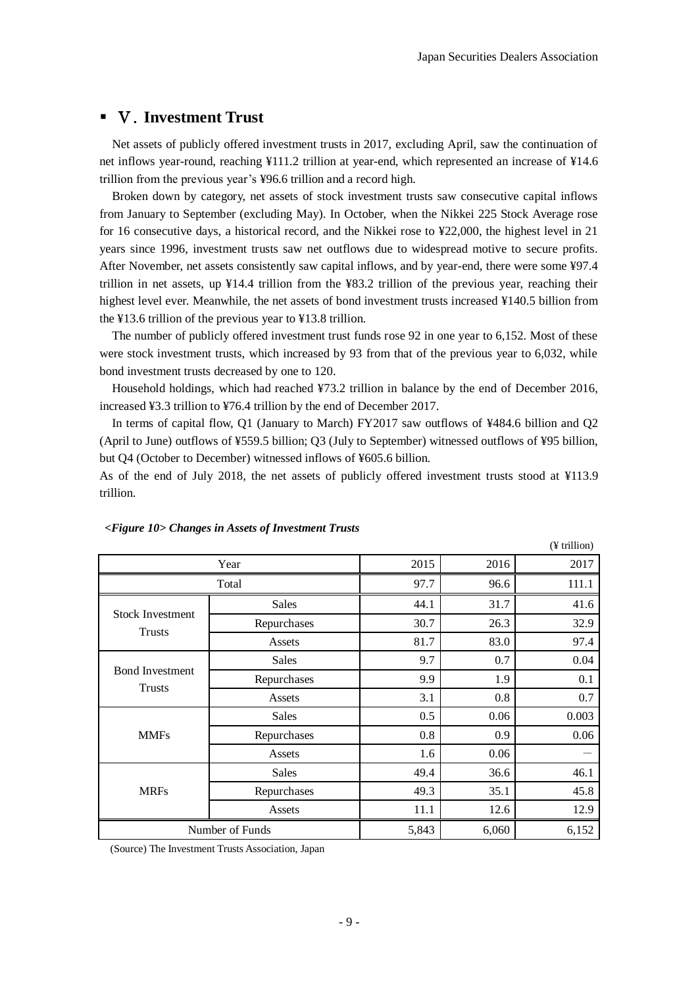# Ⅴ.**Investment Trust**

Net assets of publicly offered investment trusts in 2017, excluding April, saw the continuation of net inflows year-round, reaching ¥111.2 trillion at year-end, which represented an increase of ¥14.6 trillion from the previous year's ¥96.6 trillion and a record high.

Broken down by category, net assets of stock investment trusts saw consecutive capital inflows from January to September (excluding May). In October, when the Nikkei 225 Stock Average rose for 16 consecutive days, a historical record, and the Nikkei rose to ¥22,000, the highest level in 21 years since 1996, investment trusts saw net outflows due to widespread motive to secure profits. After November, net assets consistently saw capital inflows, and by year-end, there were some ¥97.4 trillion in net assets, up ¥14.4 trillion from the ¥83.2 trillion of the previous year, reaching their highest level ever. Meanwhile, the net assets of bond investment trusts increased ¥140.5 billion from the ¥13.6 trillion of the previous year to ¥13.8 trillion.

The number of publicly offered investment trust funds rose 92 in one year to 6,152. Most of these were stock investment trusts, which increased by 93 from that of the previous year to 6,032, while bond investment trusts decreased by one to 120.

Household holdings, which had reached ¥73.2 trillion in balance by the end of December 2016, increased ¥3.3 trillion to ¥76.4 trillion by the end of December 2017.

In terms of capital flow, Q1 (January to March) FY2017 saw outflows of ¥484.6 billion and Q2 (April to June) outflows of ¥559.5 billion; Q3 (July to September) witnessed outflows of ¥95 billion, but Q4 (October to December) witnessed inflows of ¥605.6 billion.

As of the end of July 2018, the net assets of publicly offered investment trusts stood at ¥113.9 trillion.

|                                          |              |       |       | (¥ trillion) |
|------------------------------------------|--------------|-------|-------|--------------|
|                                          | 2015         | 2016  | 2017  |              |
|                                          | 97.7         | 96.6  | 111.1 |              |
|                                          | Sales        | 44.1  | 31.7  | 41.6         |
| <b>Stock Investment</b><br><b>Trusts</b> | Repurchases  | 30.7  | 26.3  | 32.9         |
|                                          | Assets       | 81.7  | 83.0  | 97.4         |
|                                          | <b>Sales</b> | 9.7   | 0.7   | 0.04         |
| <b>Bond Investment</b><br>Trusts         | Repurchases  | 9.9   | 1.9   | 0.1          |
|                                          | Assets       | 3.1   | 0.8   | 0.7          |
|                                          | <b>Sales</b> | 0.5   | 0.06  | 0.003        |
| <b>MMFs</b>                              | Repurchases  | 0.8   | 0.9   | 0.06         |
|                                          | Assets       | 1.6   | 0.06  |              |
|                                          | Sales        | 49.4  | 36.6  | 46.1         |
| <b>MRFs</b>                              | Repurchases  | 49.3  | 35.1  | 45.8         |
|                                          | Assets       | 11.1  | 12.6  | 12.9         |
| Number of Funds                          | 5,843        | 6,060 | 6,152 |              |

#### *<Figure 10> Changes in Assets of Investment Trusts*

(Source) The Investment Trusts Association, Japan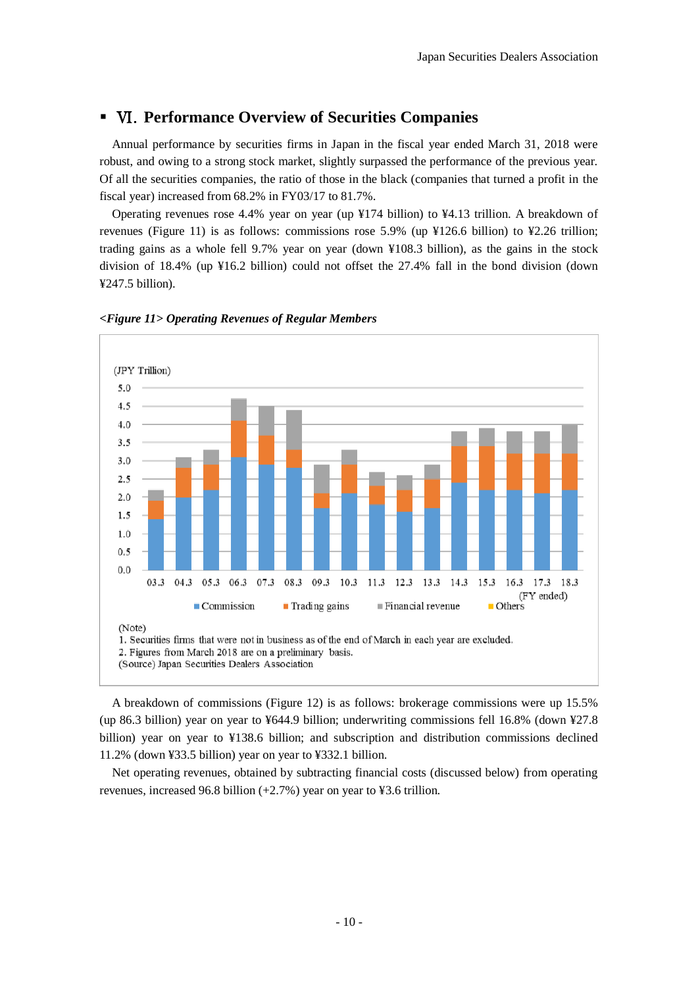# Ⅵ.**Performance Overview of Securities Companies**

 Annual performance by securities firms in Japan in the fiscal year ended March 31, 2018 were robust, and owing to a strong stock market, slightly surpassed the performance of the previous year. Of all the securities companies, the ratio of those in the black (companies that turned a profit in the fiscal year) increased from 68.2% in FY03/17 to 81.7%.

 Operating revenues rose 4.4% year on year (up ¥174 billion) to ¥4.13 trillion. A breakdown of revenues (Figure 11) is as follows: commissions rose 5.9% (up ¥126.6 billion) to ¥2.26 trillion; trading gains as a whole fell 9.7% year on year (down ¥108.3 billion), as the gains in the stock division of 18.4% (up ¥16.2 billion) could not offset the 27.4% fall in the bond division (down ¥247.5 billion).



#### *<Figure 11> Operating Revenues of Regular Members*

A breakdown of commissions (Figure 12) is as follows: brokerage commissions were up 15.5% (up 86.3 billion) year on year to ¥644.9 billion; underwriting commissions fell 16.8% (down ¥27.8 billion) year on year to ¥138.6 billion; and subscription and distribution commissions declined 11.2% (down ¥33.5 billion) year on year to ¥332.1 billion.

Net operating revenues, obtained by subtracting financial costs (discussed below) from operating revenues, increased 96.8 billion (+2.7%) year on year to ¥3.6 trillion.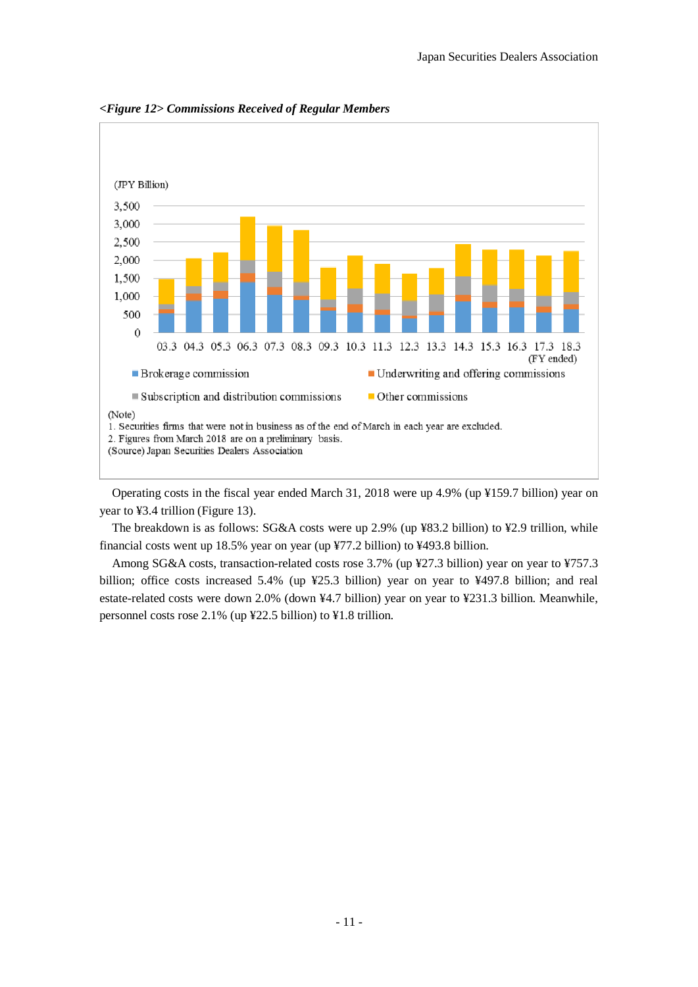

*<Figure 12> Commissions Received of Regular Members*

Operating costs in the fiscal year ended March 31, 2018 were up 4.9% (up ¥159.7 billion) year on year to ¥3.4 trillion (Figure 13).

The breakdown is as follows: SG&A costs were up 2.9% (up ¥83.2 billion) to ¥2.9 trillion, while financial costs went up 18.5% year on year (up ¥77.2 billion) to ¥493.8 billion.

Among SG&A costs, transaction-related costs rose 3.7% (up ¥27.3 billion) year on year to ¥757.3 billion; office costs increased 5.4% (up ¥25.3 billion) year on year to ¥497.8 billion; and real estate-related costs were down 2.0% (down ¥4.7 billion) year on year to ¥231.3 billion. Meanwhile, personnel costs rose 2.1% (up ¥22.5 billion) to ¥1.8 trillion.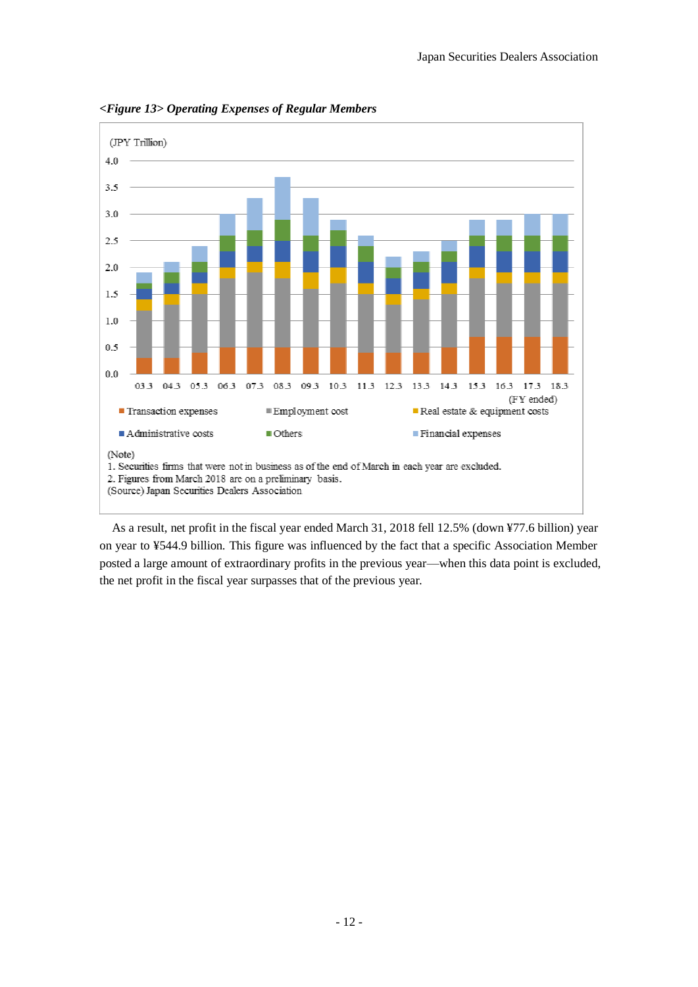

*<Figure 13> Operating Expenses of Regular Members*

As a result, net profit in the fiscal year ended March 31, 2018 fell 12.5% (down ¥77.6 billion) year on year to ¥544.9 billion. This figure was influenced by the fact that a specific Association Member posted a large amount of extraordinary profits in the previous year—when this data point is excluded, the net profit in the fiscal year surpasses that of the previous year.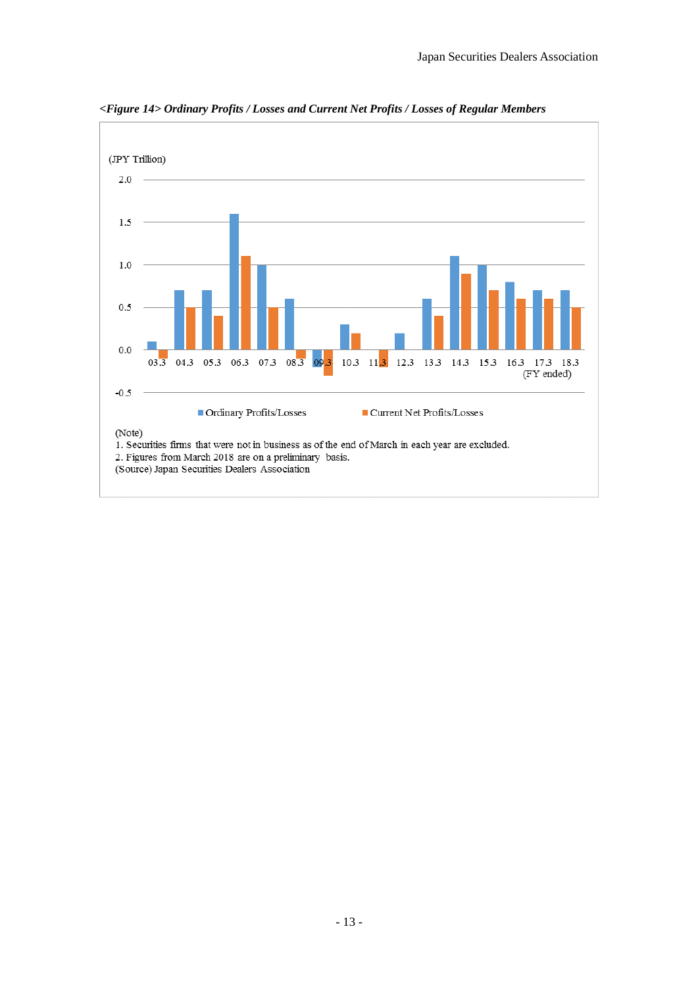

*<Figure 14> Ordinary Profits / Losses and Current Net Profits / Losses of Regular Members*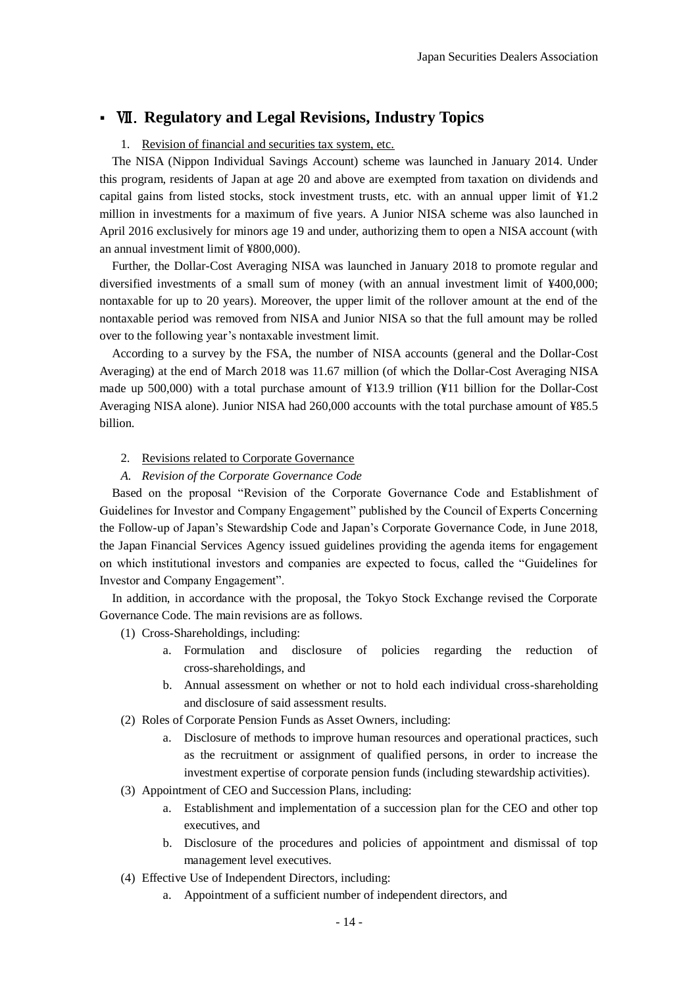# Ⅶ.**Regulatory and Legal Revisions, Industry Topics**

# 1. Revision of financial and securities tax system, etc.

 The NISA (Nippon Individual Savings Account) scheme was launched in January 2014. Under this program, residents of Japan at age 20 and above are exempted from taxation on dividends and capital gains from listed stocks, stock investment trusts, etc. with an annual upper limit of ¥1.2 million in investments for a maximum of five years. A Junior NISA scheme was also launched in April 2016 exclusively for minors age 19 and under, authorizing them to open a NISA account (with an annual investment limit of ¥800,000).

 Further, the Dollar-Cost Averaging NISA was launched in January 2018 to promote regular and diversified investments of a small sum of money (with an annual investment limit of ¥400,000; nontaxable for up to 20 years). Moreover, the upper limit of the rollover amount at the end of the nontaxable period was removed from NISA and Junior NISA so that the full amount may be rolled over to the following year's nontaxable investment limit.

 According to a survey by the FSA, the number of NISA accounts (general and the Dollar-Cost Averaging) at the end of March 2018 was 11.67 million (of which the Dollar-Cost Averaging NISA made up 500,000) with a total purchase amount of ¥13.9 trillion (¥11 billion for the Dollar-Cost Averaging NISA alone). Junior NISA had 260,000 accounts with the total purchase amount of ¥85.5 billion.

# 2. Revisions related to Corporate Governance

# *A. Revision of the Corporate Governance Code*

 Based on the proposal "Revision of the Corporate Governance Code and Establishment of Guidelines for Investor and Company Engagement" published by the Council of Experts Concerning the Follow-up of Japan's Stewardship Code and Japan's Corporate Governance Code, in June 2018, the Japan Financial Services Agency issued guidelines providing the agenda items for engagement on which institutional investors and companies are expected to focus, called the "Guidelines for Investor and Company Engagement".

 In addition, in accordance with the proposal, the Tokyo Stock Exchange revised the Corporate Governance Code. The main revisions are as follows.

- (1) Cross-Shareholdings, including:
	- a. Formulation and disclosure of policies regarding the reduction of cross-shareholdings, and
	- b. Annual assessment on whether or not to hold each individual cross-shareholding and disclosure of said assessment results.
- (2) Roles of Corporate Pension Funds as Asset Owners, including:
	- a. Disclosure of methods to improve human resources and operational practices, such as the recruitment or assignment of qualified persons, in order to increase the investment expertise of corporate pension funds (including stewardship activities).
- (3) Appointment of CEO and Succession Plans, including:
	- a. Establishment and implementation of a succession plan for the CEO and other top executives, and
	- b. Disclosure of the procedures and policies of appointment and dismissal of top management level executives.
- (4) Effective Use of Independent Directors, including:
	- a. Appointment of a sufficient number of independent directors, and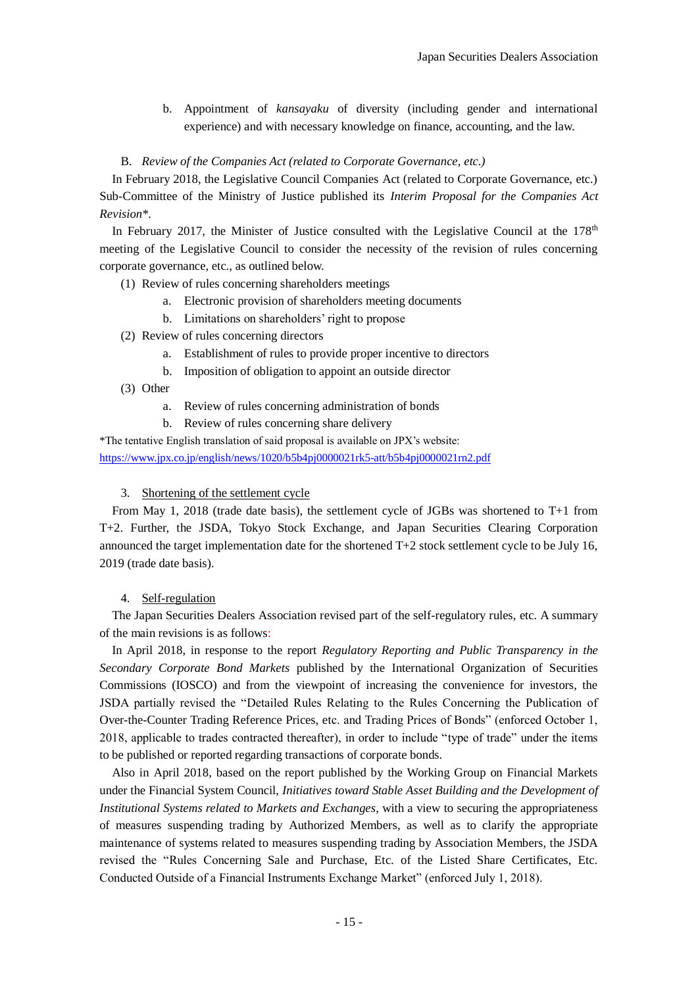b. Appointment of *kansayaku* of diversity (including gender and international experience) and with necessary knowledge on finance, accounting, and the law.

## B. *Review of the Companies Act (related to Corporate Governance, etc.)*

 In February 2018, the Legislative Council Companies Act (related to Corporate Governance, etc.) Sub-Committee of the Ministry of Justice published its *Interim Proposal for the Companies Act Revision\**.

In February 2017, the Minister of Justice consulted with the Legislative Council at the  $178<sup>th</sup>$ meeting of the Legislative Council to consider the necessity of the revision of rules concerning corporate governance, etc., as outlined below.

- (1) Review of rules concerning shareholders meetings
	- a. Electronic provision of shareholders meeting documents
	- b. Limitations on shareholders' right to propose
- (2) Review of rules concerning directors
	- a. Establishment of rules to provide proper incentive to directors
	- b. Imposition of obligation to appoint an outside director
- (3) Other
	- a. Review of rules concerning administration of bonds
	- b. Review of rules concerning share delivery

\*The tentative English translation of said proposal is available on JPX's website: <https://www.jpx.co.jp/english/news/1020/b5b4pj0000021rk5-att/b5b4pj0000021rn2.pdf>

## 3. Shortening of the settlement cycle

 From May 1, 2018 (trade date basis), the settlement cycle of JGBs was shortened to T+1 from T+2. Further, the JSDA, Tokyo Stock Exchange, and Japan Securities Clearing Corporation announced the target implementation date for the shortened  $T+2$  stock settlement cycle to be July 16, 2019 (trade date basis).

## 4. Self-regulation

 The Japan Securities Dealers Association revised part of the self-regulatory rules, etc. A summary of the main revisions is as follows:

 In April 2018, in response to the report *Regulatory Reporting and Public Transparency in the Secondary Corporate Bond Markets* published by the International Organization of Securities Commissions (IOSCO) and from the viewpoint of increasing the convenience for investors, the JSDA partially revised the "Detailed Rules Relating to the Rules Concerning the Publication of Over-the-Counter Trading Reference Prices, etc. and Trading Prices of Bonds" (enforced October 1, 2018, applicable to trades contracted thereafter), in order to include "type of trade" under the items to be published or reported regarding transactions of corporate bonds.

 Also in April 2018, based on the report published by the Working Group on Financial Markets under the Financial System Council, *Initiatives toward Stable Asset Building and the Development of Institutional Systems related to Markets and Exchanges*, with a view to securing the appropriateness of measures suspending trading by Authorized Members, as well as to clarify the appropriate maintenance of systems related to measures suspending trading by Association Members, the JSDA revised the "Rules Concerning Sale and Purchase, Etc. of the Listed Share Certificates, Etc. Conducted Outside of a Financial Instruments Exchange Market" (enforced July 1, 2018).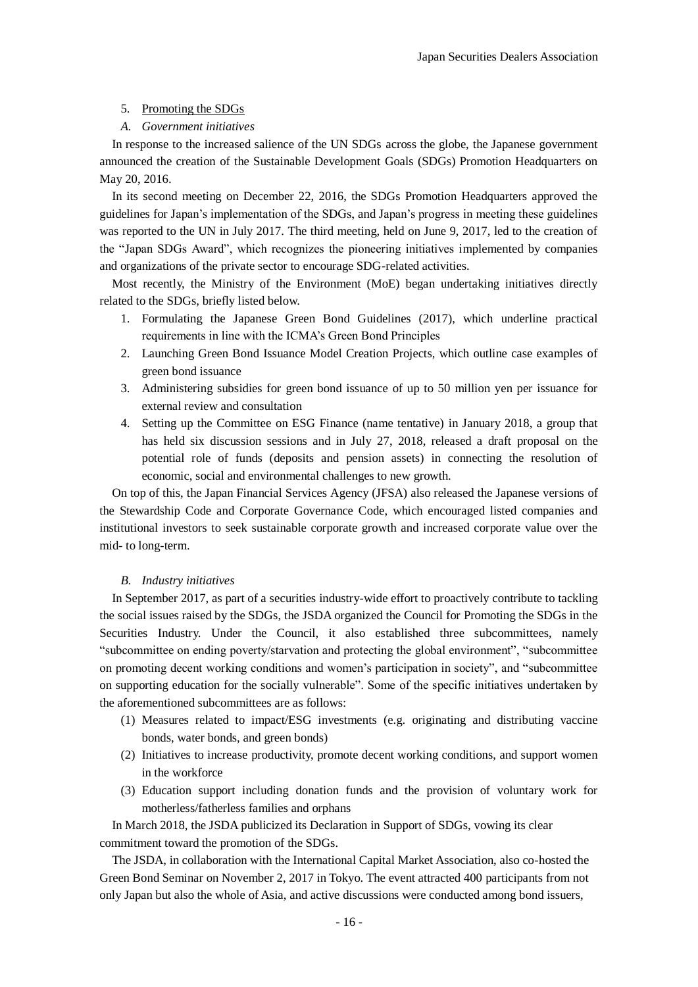### 5. Promoting the SDGs

#### *A. Government initiatives*

 In response to the increased salience of the UN SDGs across the globe, the Japanese government announced the creation of the Sustainable Development Goals (SDGs) Promotion Headquarters on May 20, 2016.

 In its second meeting on December 22, 2016, the SDGs Promotion Headquarters approved the guidelines for Japan's implementation of the SDGs, and Japan's progress in meeting these guidelines was reported to the UN in July 2017. The third meeting, held on June 9, 2017, led to the creation of the "Japan SDGs Award", which recognizes the pioneering initiatives implemented by companies and organizations of the private sector to encourage SDG-related activities.

 Most recently, the Ministry of the Environment (MoE) began undertaking initiatives directly related to the SDGs, briefly listed below.

- 1. Formulating the Japanese Green Bond Guidelines (2017), which underline practical requirements in line with the ICMA's Green Bond Principles
- 2. Launching Green Bond Issuance Model Creation Projects, which outline case examples of green bond issuance
- 3. Administering subsidies for green bond issuance of up to 50 million yen per issuance for external review and consultation
- 4. Setting up the Committee on ESG Finance (name tentative) in January 2018, a group that has held six discussion sessions and in July 27, 2018, released a draft proposal on the potential role of funds (deposits and pension assets) in connecting the resolution of economic, social and environmental challenges to new growth.

 On top of this, the Japan Financial Services Agency (JFSA) also released the Japanese versions of the Stewardship Code and Corporate Governance Code, which encouraged listed companies and institutional investors to seek sustainable corporate growth and increased corporate value over the mid- to long-term.

### *B. Industry initiatives*

 In September 2017, as part of a securities industry-wide effort to proactively contribute to tackling the social issues raised by the SDGs, the JSDA organized the Council for Promoting the SDGs in the Securities Industry. Under the Council, it also established three subcommittees, namely "subcommittee on ending poverty/starvation and protecting the global environment", "subcommittee on promoting decent working conditions and women's participation in society", and "subcommittee on supporting education for the socially vulnerable". Some of the specific initiatives undertaken by the aforementioned subcommittees are as follows:

- (1) Measures related to impact/ESG investments (e.g. originating and distributing vaccine bonds, water bonds, and green bonds)
- (2) Initiatives to increase productivity, promote decent working conditions, and support women in the workforce
- (3) Education support including donation funds and the provision of voluntary work for motherless/fatherless families and orphans

 In March 2018, the JSDA publicized its Declaration in Support of SDGs, vowing its clear commitment toward the promotion of the SDGs.

 The JSDA, in collaboration with the International Capital Market Association, also co-hosted the Green Bond Seminar on November 2, 2017 in Tokyo. The event attracted 400 participants from not only Japan but also the whole of Asia, and active discussions were conducted among bond issuers,